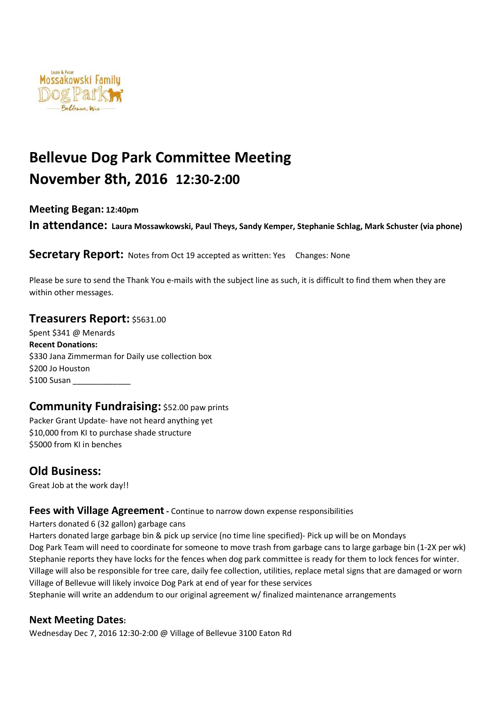

# **Bellevue Dog Park Committee Meeting November 8th, 2016 12:30-2:00**

**Meeting Began: 12:40pm** 

**In attendance: Laura Mossawkowski, Paul Theys, Sandy Kemper, Stephanie Schlag, Mark Schuster (via phone)** 

**Secretary Report:** Notes from Oct 19 accepted as written: Yes Changes: None

Please be sure to send the Thank You e-mails with the subject line as such, it is difficult to find them when they are within other messages.

#### **Treasurers Report:** \$5631.00

Spent \$341 @ Menards **Recent Donations:**  \$330 Jana Zimmerman for Daily use collection box \$200 Jo Houston \$100 Susan

#### **Community Fundraising:** \$52.00 paw prints

Packer Grant Update- have not heard anything yet \$10,000 from KI to purchase shade structure \$5000 from KI in benches

# **Old Business:**

Great Job at the work day!!

#### **Fees with Village Agreement** - Continue to narrow down expense responsibilities

Harters donated 6 (32 gallon) garbage cans

Harters donated large garbage bin & pick up service (no time line specified)- Pick up will be on Mondays Dog Park Team will need to coordinate for someone to move trash from garbage cans to large garbage bin (1-2X per wk) Stephanie reports they have locks for the fences when dog park committee is ready for them to lock fences for winter. Village will also be responsible for tree care, daily fee collection, utilities, replace metal signs that are damaged or worn Village of Bellevue will likely invoice Dog Park at end of year for these services

Stephanie will write an addendum to our original agreement w/ finalized maintenance arrangements

#### **Next Meeting Dates:**

Wednesday Dec 7, 2016 12:30-2:00 @ Village of Bellevue 3100 Eaton Rd